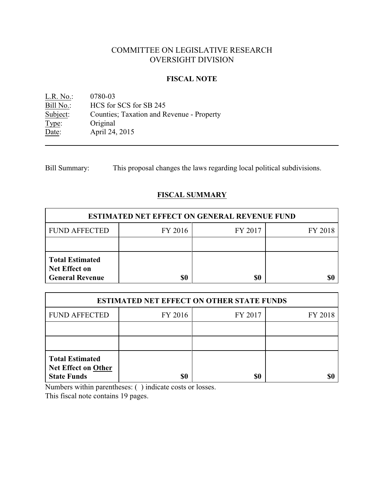# COMMITTEE ON LEGISLATIVE RESEARCH OVERSIGHT DIVISION

### **FISCAL NOTE**

L.R. No.: 0780-03<br>Bill No.: HCS for Bill No.: HCS for SCS for SB 245<br>Subject: Counties; Taxation and R Counties; Taxation and Revenue - Property Type: Original Date: April 24, 2015

Bill Summary: This proposal changes the laws regarding local political subdivisions.

# **FISCAL SUMMARY**

| <b>ESTIMATED NET EFFECT ON GENERAL REVENUE FUND</b>                      |         |         |         |  |  |
|--------------------------------------------------------------------------|---------|---------|---------|--|--|
| <b>FUND AFFECTED</b>                                                     | FY 2016 | FY 2017 | FY 2018 |  |  |
|                                                                          |         |         |         |  |  |
| <b>Total Estimated</b><br><b>Net Effect on</b><br><b>General Revenue</b> |         | \$0     |         |  |  |

| <b>ESTIMATED NET EFFECT ON OTHER STATE FUNDS</b>                           |         |         |         |  |  |
|----------------------------------------------------------------------------|---------|---------|---------|--|--|
| <b>FUND AFFECTED</b>                                                       | FY 2016 | FY 2017 | FY 2018 |  |  |
|                                                                            |         |         |         |  |  |
|                                                                            |         |         |         |  |  |
| <b>Total Estimated</b><br><b>Net Effect on Other</b><br><b>State Funds</b> | \$0     | \$0     | SI.     |  |  |

Numbers within parentheses: ( ) indicate costs or losses.

This fiscal note contains 19 pages.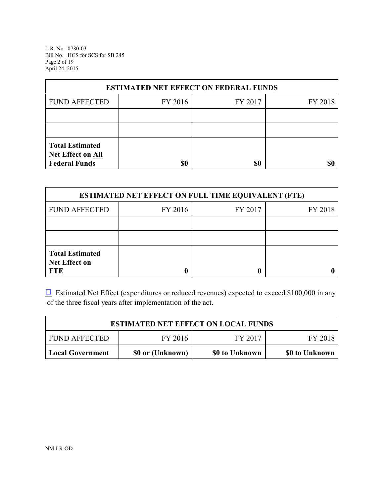L.R. No. 0780-03 Bill No. HCS for SCS for SB 245 Page 2 of 19 April 24, 2015

| <b>ESTIMATED NET EFFECT ON FEDERAL FUNDS</b> |         |         |         |  |  |
|----------------------------------------------|---------|---------|---------|--|--|
| <b>FUND AFFECTED</b>                         | FY 2016 | FY 2017 | FY 2018 |  |  |
|                                              |         |         |         |  |  |
|                                              |         |         |         |  |  |
| <b>Total Estimated</b><br>Net Effect on All  |         |         |         |  |  |
| <b>Federal Funds</b>                         | \$0     | \$0     |         |  |  |

| <b>ESTIMATED NET EFFECT ON FULL TIME EQUIVALENT (FTE)</b>    |         |         |         |  |  |
|--------------------------------------------------------------|---------|---------|---------|--|--|
| <b>FUND AFFECTED</b>                                         | FY 2016 | FY 2017 | FY 2018 |  |  |
|                                                              |         |         |         |  |  |
|                                                              |         |         |         |  |  |
| <b>Total Estimated</b><br><b>Net Effect on</b><br><b>FTE</b> |         |         |         |  |  |

 $\Box$  Estimated Net Effect (expenditures or reduced revenues) expected to exceed \$100,000 in any of the three fiscal years after implementation of the act.

| <b>ESTIMATED NET EFFECT ON LOCAL FUNDS</b>                                      |  |  |  |  |  |
|---------------------------------------------------------------------------------|--|--|--|--|--|
| FY 2017<br>FY 2016<br><b>FUND AFFECTED</b><br>FY 2018                           |  |  |  |  |  |
| \$0 or (Unknown)<br>\$0 to Unknown<br><b>Local Government</b><br>\$0 to Unknown |  |  |  |  |  |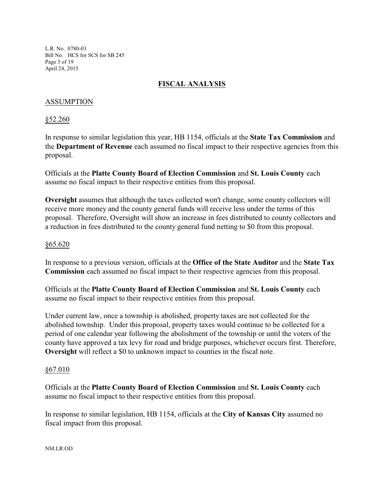L.R. No. 0780-03 Bill No. HCS for SCS for SB 245 Page 3 of 19 April 24, 2015

## **FISCAL ANALYSIS**

## ASSUMPTION

§52.260

In response to similar legislation this year, HB 1154, officials at the **State Tax Commission** and the **Department of Revenue** each assumed no fiscal impact to their respective agencies from this proposal.

Officials at the **Platte County Board of Election Commission** and **St. Louis County** each assume no fiscal impact to their respective entities from this proposal.

**Oversight** assumes that although the taxes collected won't change, some county collectors will receive more money and the county general funds will receive less under the terms of this proposal. Therefore, Oversight will show an increase in fees distributed to county collectors and a reduction in fees distributed to the county general fund netting to \$0 from this proposal.

#### §65.620

In response to a previous version, officials at the **Office of the State Auditor** and the **State Tax Commission** each assumed no fiscal impact to their respective agencies from this proposal.

Officials at the **Platte County Board of Election Commission** and **St. Louis County** each assume no fiscal impact to their respective entities from this proposal.

Under current law, once a township is abolished, property taxes are not collected for the abolished township. Under this proposal, property taxes would continue to be collected for a period of one calendar year following the abolishment of the township or until the voters of the county have approved a tax levy for road and bridge purposes, whichever occurs first. Therefore, **Oversight** will reflect a \$0 to unknown impact to counties in the fiscal note.

#### §67.010

Officials at the **Platte County Board of Election Commission** and **St. Louis County** each assume no fiscal impact to their respective entities from this proposal.

In response to similar legislation, HB 1154, officials at the **City of Kansas City** assumed no fiscal impact from this proposal.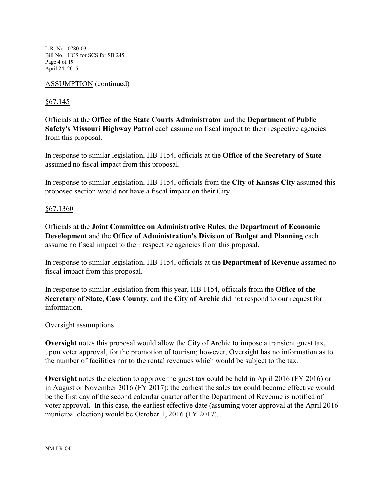L.R. No. 0780-03 Bill No. HCS for SCS for SB 245 Page 4 of 19 April 24, 2015

## ASSUMPTION (continued)

## §67.145

Officials at the **Office of the State Courts Administrator** and the **Department of Public Safety's Missouri Highway Patrol** each assume no fiscal impact to their respective agencies from this proposal.

In response to similar legislation, HB 1154, officials at the **Office of the Secretary of State** assumed no fiscal impact from this proposal.

In response to similar legislation, HB 1154, officials from the **City of Kansas City** assumed this proposed section would not have a fiscal impact on their City.

### §67.1360

Officials at the **Joint Committee on Administrative Rules**, the **Department of Economic Development** and the **Office of Administration's Division of Budget and Planning** each assume no fiscal impact to their respective agencies from this proposal.

In response to similar legislation, HB 1154, officials at the **Department of Revenue** assumed no fiscal impact from this proposal.

In response to similar legislation from this year, HB 1154, officials from the **Office of the Secretary of State**, **Cass County**, and the **City of Archie** did not respond to our request for information.

### Oversight assumptions

**Oversight** notes this proposal would allow the City of Archie to impose a transient guest tax, upon voter approval, for the promotion of tourism; however, Oversight has no information as to the number of facilities nor to the rental revenues which would be subject to the tax.

**Oversight** notes the election to approve the guest tax could be held in April 2016 (FY 2016) or in August or November 2016 (FY 2017); the earliest the sales tax could become effective would be the first day of the second calendar quarter after the Department of Revenue is notified of voter approval. In this case, the earliest effective date (assuming voter approval at the April 2016 municipal election) would be October 1, 2016 (FY 2017).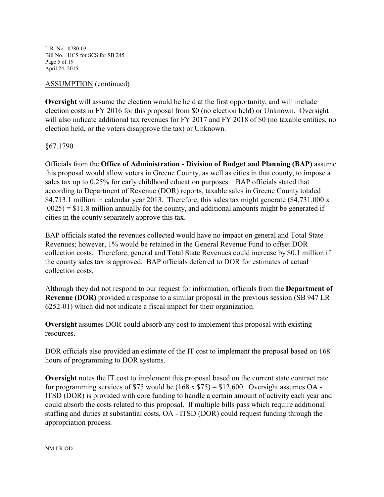L.R. No. 0780-03 Bill No. HCS for SCS for SB 245 Page 5 of 19 April 24, 2015

### ASSUMPTION (continued)

**Oversight** will assume the election would be held at the first opportunity, and will include election costs in FY 2016 for this proposal from \$0 (no election held) or Unknown. Oversight will also indicate additional tax revenues for FY 2017 and FY 2018 of \$0 (no taxable entities, no election held, or the voters disapprove the tax) or Unknown.

## §67.1790

Officials from the **Office of Administration - Division of Budget and Planning (BAP)** assume this proposal would allow voters in Greene County, as well as cities in that county, to impose a sales tax up to 0.25% for early childhood education purposes. BAP officials stated that according to Department of Revenue (DOR) reports, taxable sales in Greene County totaled \$4,713.1 million in calendar year 2013. Therefore, this sales tax might generate (\$4,731,000 x  $.0025$  = \$11.8 million annually for the county, and additional amounts might be generated if cities in the county separately approve this tax.

BAP officials stated the revenues collected would have no impact on general and Total State Revenues; however, 1% would be retained in the General Revenue Fund to offset DOR collection costs. Therefore, general and Total State Revenues could increase by \$0.1 million if the county sales tax is approved. BAP officials deferred to DOR for estimates of actual collection costs.

Although they did not respond to our request for information, officials from the **Department of Revenue (DOR)** provided a response to a similar proposal in the previous session (SB 947 LR 6252-01) which did not indicate a fiscal impact for their organization.

**Oversight** assumes DOR could absorb any cost to implement this proposal with existing resources.

DOR officials also provided an estimate of the IT cost to implement the proposal based on 168 hours of programming to DOR systems.

**Oversight** notes the IT cost to implement this proposal based on the current state contract rate for programming services of \$75 would be  $(168 \times $75) = $12,600$ . Oversight assumes OA -ITSD (DOR) is provided with core funding to handle a certain amount of activity each year and could absorb the costs related to this proposal. If multiple bills pass which require additional staffing and duties at substantial costs, OA - ITSD (DOR) could request funding through the appropriation process.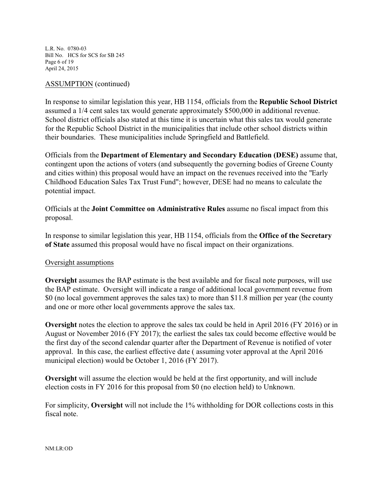L.R. No. 0780-03 Bill No. HCS for SCS for SB 245 Page 6 of 19 April 24, 2015

#### ASSUMPTION (continued)

In response to similar legislation this year, HB 1154, officials from the **Republic School District** assumed a 1/4 cent sales tax would generate approximately \$500,000 in additional revenue. School district officials also stated at this time it is uncertain what this sales tax would generate for the Republic School District in the municipalities that include other school districts within their boundaries. These municipalities include Springfield and Battlefield.

Officials from the **Department of Elementary and Secondary Education (DESE)** assume that, contingent upon the actions of voters (and subsequently the governing bodies of Greene County and cities within) this proposal would have an impact on the revenues received into the "Early Childhood Education Sales Tax Trust Fund"; however, DESE had no means to calculate the potential impact.

Officials at the **Joint Committee on Administrative Rules** assume no fiscal impact from this proposal.

In response to similar legislation this year, HB 1154, officials from the **Office of the Secretary of State** assumed this proposal would have no fiscal impact on their organizations.

### Oversight assumptions

**Oversight** assumes the BAP estimate is the best available and for fiscal note purposes, will use the BAP estimate. Oversight will indicate a range of additional local government revenue from \$0 (no local government approves the sales tax) to more than \$11.8 million per year (the county and one or more other local governments approve the sales tax.

**Oversight** notes the election to approve the sales tax could be held in April 2016 (FY 2016) or in August or November 2016 (FY 2017); the earliest the sales tax could become effective would be the first day of the second calendar quarter after the Department of Revenue is notified of voter approval. In this case, the earliest effective date ( assuming voter approval at the April 2016 municipal election) would be October 1, 2016 (FY 2017).

**Oversight** will assume the election would be held at the first opportunity, and will include election costs in FY 2016 for this proposal from \$0 (no election held) to Unknown.

For simplicity, **Oversight** will not include the 1% withholding for DOR collections costs in this fiscal note.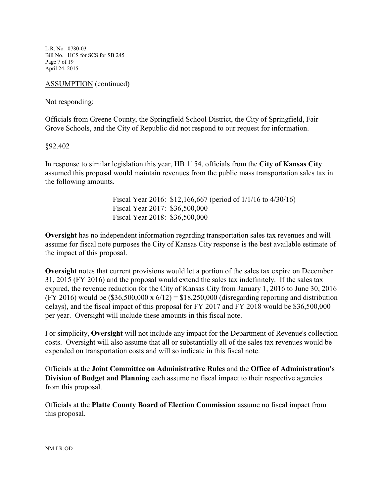L.R. No. 0780-03 Bill No. HCS for SCS for SB 245 Page 7 of 19 April 24, 2015

ASSUMPTION (continued)

Not responding:

Officials from Greene County, the Springfield School District, the City of Springfield, Fair Grove Schools, and the City of Republic did not respond to our request for information.

#### §92.402

In response to similar legislation this year, HB 1154, officials from the **City of Kansas City** assumed this proposal would maintain revenues from the public mass transportation sales tax in the following amounts.

> Fiscal Year 2016: \$12,166,667 (period of 1/1/16 to 4/30/16) Fiscal Year 2017: \$36,500,000 Fiscal Year 2018: \$36,500,000

**Oversight** has no independent information regarding transportation sales tax revenues and will assume for fiscal note purposes the City of Kansas City response is the best available estimate of the impact of this proposal.

**Oversight** notes that current provisions would let a portion of the sales tax expire on December 31, 2015 (FY 2016) and the proposal would extend the sales tax indefinitely. If the sales tax expired, the revenue reduction for the City of Kansas City from January 1, 2016 to June 30, 2016 (FY 2016) would be  $(\$36,500,000 \times 6/12) = \$18,250,000$  (disregarding reporting and distribution delays), and the fiscal impact of this proposal for FY 2017 and FY 2018 would be \$36,500,000 per year. Oversight will include these amounts in this fiscal note.

For simplicity, **Oversight** will not include any impact for the Department of Revenue's collection costs. Oversight will also assume that all or substantially all of the sales tax revenues would be expended on transportation costs and will so indicate in this fiscal note.

Officials at the **Joint Committee on Administrative Rules** and the **Office of Administration's Division of Budget and Planning** each assume no fiscal impact to their respective agencies from this proposal.

Officials at the **Platte County Board of Election Commission** assume no fiscal impact from this proposal.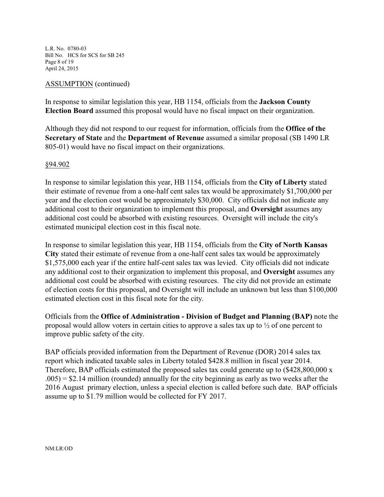L.R. No. 0780-03 Bill No. HCS for SCS for SB 245 Page 8 of 19 April 24, 2015

### ASSUMPTION (continued)

In response to similar legislation this year, HB 1154, officials from the **Jackson County Election Board** assumed this proposal would have no fiscal impact on their organization.

Although they did not respond to our request for information, officials from the **Office of the Secretary of State** and the **Department of Revenue** assumed a similar proposal (SB 1490 LR 805-01) would have no fiscal impact on their organizations.

#### §94.902

In response to similar legislation this year, HB 1154, officials from the **City of Liberty** stated their estimate of revenue from a one-half cent sales tax would be approximately \$1,700,000 per year and the election cost would be approximately \$30,000. City officials did not indicate any additional cost to their organization to implement this proposal, and **Oversight** assumes any additional cost could be absorbed with existing resources. Oversight will include the city's estimated municipal election cost in this fiscal note.

In response to similar legislation this year, HB 1154, officials from the **City of North Kansas City** stated their estimate of revenue from a one-half cent sales tax would be approximately \$1,575,000 each year if the entire half-cent sales tax was levied. City officials did not indicate any additional cost to their organization to implement this proposal, and **Oversight** assumes any additional cost could be absorbed with existing resources. The city did not provide an estimate of election costs for this proposal, and Oversight will include an unknown but less than \$100,000 estimated election cost in this fiscal note for the city.

Officials from the **Office of Administration - Division of Budget and Planning (BAP)** note the proposal would allow voters in certain cities to approve a sales tax up to ½ of one percent to improve public safety of the city.

BAP officials provided information from the Department of Revenue (DOR) 2014 sales tax report which indicated taxable sales in Liberty totaled \$428.8 million in fiscal year 2014. Therefore, BAP officials estimated the proposed sales tax could generate up to (\$428,800,000 x  $.005$ ) = \$2.14 million (rounded) annually for the city beginning as early as two weeks after the 2016 August primary election, unless a special election is called before such date. BAP officials assume up to \$1.79 million would be collected for FY 2017.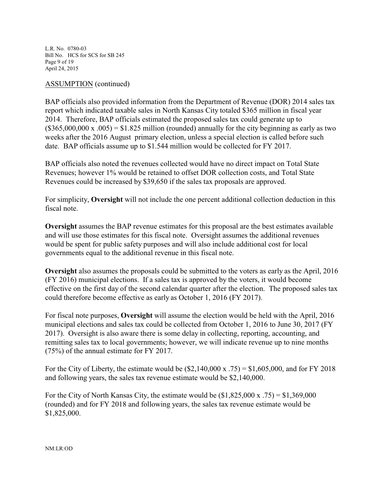L.R. No. 0780-03 Bill No. HCS for SCS for SB 245 Page 9 of 19 April 24, 2015

### ASSUMPTION (continued)

BAP officials also provided information from the Department of Revenue (DOR) 2014 sales tax report which indicated taxable sales in North Kansas City totaled \$365 million in fiscal year 2014. Therefore, BAP officials estimated the proposed sales tax could generate up to  $($365,000,000 \times 0.005) = $1.825 \text{ million (rounded) annually for the city beginning as early as two)}$ weeks after the 2016 August primary election, unless a special election is called before such date. BAP officials assume up to \$1.544 million would be collected for FY 2017.

BAP officials also noted the revenues collected would have no direct impact on Total State Revenues; however 1% would be retained to offset DOR collection costs, and Total State Revenues could be increased by \$39,650 if the sales tax proposals are approved.

For simplicity, **Oversight** will not include the one percent additional collection deduction in this fiscal note.

**Oversight** assumes the BAP revenue estimates for this proposal are the best estimates available and will use those estimates for this fiscal note. Oversight assumes the additional revenues would be spent for public safety purposes and will also include additional cost for local governments equal to the additional revenue in this fiscal note.

**Oversight** also assumes the proposals could be submitted to the voters as early as the April, 2016 (FY 2016) municipal elections. If a sales tax is approved by the voters, it would become effective on the first day of the second calendar quarter after the election. The proposed sales tax could therefore become effective as early as October 1, 2016 (FY 2017).

For fiscal note purposes, **Oversight** will assume the election would be held with the April, 2016 municipal elections and sales tax could be collected from October 1, 2016 to June 30, 2017 (FY 2017). Oversight is also aware there is some delay in collecting, reporting, accounting, and remitting sales tax to local governments; however, we will indicate revenue up to nine months (75%) of the annual estimate for FY 2017.

For the City of Liberty, the estimate would be  $(\$2,140,000 \times .75) = \$1,605,000$ , and for FY 2018 and following years, the sales tax revenue estimate would be \$2,140,000.

For the City of North Kansas City, the estimate would be  $(\$1,825,000 \text{ x } .75) = \$1,369,000$ (rounded) and for FY 2018 and following years, the sales tax revenue estimate would be \$1,825,000.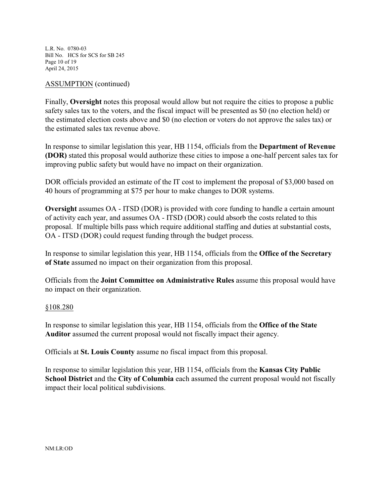L.R. No. 0780-03 Bill No. HCS for SCS for SB 245 Page 10 of 19 April 24, 2015

### ASSUMPTION (continued)

Finally, **Oversight** notes this proposal would allow but not require the cities to propose a public safety sales tax to the voters, and the fiscal impact will be presented as \$0 (no election held) or the estimated election costs above and \$0 (no election or voters do not approve the sales tax) or the estimated sales tax revenue above.

In response to similar legislation this year, HB 1154, officials from the **Department of Revenue (DOR)** stated this proposal would authorize these cities to impose a one-half percent sales tax for improving public safety but would have no impact on their organization.

DOR officials provided an estimate of the IT cost to implement the proposal of \$3,000 based on 40 hours of programming at \$75 per hour to make changes to DOR systems.

**Oversight** assumes OA - ITSD (DOR) is provided with core funding to handle a certain amount of activity each year, and assumes OA - ITSD (DOR) could absorb the costs related to this proposal. If multiple bills pass which require additional staffing and duties at substantial costs, OA - ITSD (DOR) could request funding through the budget process.

In response to similar legislation this year, HB 1154, officials from the **Office of the Secretary of State** assumed no impact on their organization from this proposal.

Officials from the **Joint Committee on Administrative Rules** assume this proposal would have no impact on their organization.

### §108.280

In response to similar legislation this year, HB 1154, officials from the **Office of the State Auditor** assumed the current proposal would not fiscally impact their agency.

Officials at **St. Louis County** assume no fiscal impact from this proposal.

In response to similar legislation this year, HB 1154, officials from the **Kansas City Public School District** and the **City of Columbia** each assumed the current proposal would not fiscally impact their local political subdivisions.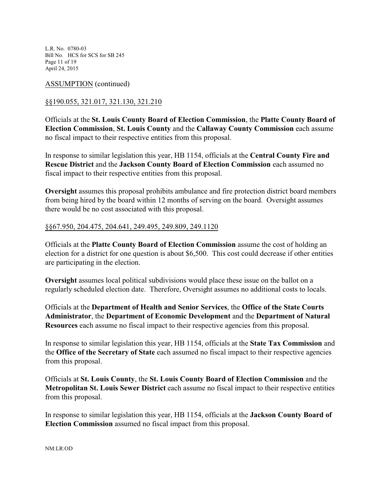L.R. No. 0780-03 Bill No. HCS for SCS for SB 245 Page 11 of 19 April 24, 2015

### ASSUMPTION (continued)

## §§190.055, 321.017, 321.130, 321.210

Officials at the **St. Louis County Board of Election Commission**, the **Platte County Board of Election Commission**, **St. Louis County** and the **Callaway County Commission** each assume no fiscal impact to their respective entities from this proposal.

In response to similar legislation this year, HB 1154, officials at the **Central County Fire and Rescue District** and the **Jackson County Board of Election Commission** each assumed no fiscal impact to their respective entities from this proposal.

**Oversight** assumes this proposal prohibits ambulance and fire protection district board members from being hired by the board within 12 months of serving on the board. Oversight assumes there would be no cost associated with this proposal.

### §§67.950, 204.475, 204.641, 249.495, 249.809, 249.1120

Officials at the **Platte County Board of Election Commission** assume the cost of holding an election for a district for one question is about \$6,500. This cost could decrease if other entities are participating in the election.

**Oversight** assumes local political subdivisions would place these issue on the ballot on a regularly scheduled election date. Therefore, Oversight assumes no additional costs to locals.

Officials at the **Department of Health and Senior Services**, the **Office of the State Courts Administrator**, the **Department of Economic Development** and the **Department of Natural Resources** each assume no fiscal impact to their respective agencies from this proposal.

In response to similar legislation this year, HB 1154, officials at the **State Tax Commission** and the **Office of the Secretary of State** each assumed no fiscal impact to their respective agencies from this proposal.

Officials at **St. Louis County**, the **St. Louis County Board of Election Commission** and the **Metropolitan St. Louis Sewer District** each assume no fiscal impact to their respective entities from this proposal.

In response to similar legislation this year, HB 1154, officials at the **Jackson County Board of Election Commission** assumed no fiscal impact from this proposal.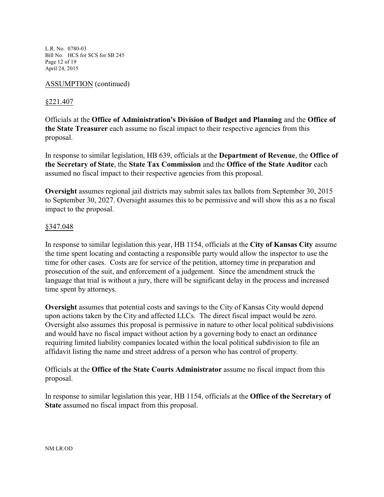L.R. No. 0780-03 Bill No. HCS for SCS for SB 245 Page 12 of 19 April 24, 2015

### ASSUMPTION (continued)

### §221.407

Officials at the **Office of Administration's Division of Budget and Planning** and the **Office of the State Treasurer** each assume no fiscal impact to their respective agencies from this proposal.

In response to similar legislation, HB 639, officials at the **Department of Revenue**, the **Office of the Secretary of State**, the **State Tax Commission** and the **Office of the State Auditor** each assumed no fiscal impact to their respective agencies from this proposal.

**Oversight** assumes regional jail districts may submit sales tax ballots from September 30, 2015 to September 30, 2027. Oversight assumes this to be permissive and will show this as a no fiscal impact to the proposal.

### §347.048

In response to similar legislation this year, HB 1154, officials at the **City of Kansas City** assume the time spent locating and contacting a responsible party would allow the inspector to use the time for other cases. Costs are for service of the petition, attorney time in preparation and prosecution of the suit, and enforcement of a judgement. Since the amendment struck the language that trial is without a jury, there will be significant delay in the process and increased time spent by attorneys.

**Oversight** assumes that potential costs and savings to the City of Kansas City would depend upon actions taken by the City and affected LLCs. The direct fiscal impact would be zero. Oversight also assumes this proposal is permissive in nature to other local political subdivisions and would have no fiscal impact without action by a governing body to enact an ordinance requiring limited liability companies located within the local political subdivision to file an affidavit listing the name and street address of a person who has control of property.

Officials at the **Office of the State Courts Administrator** assume no fiscal impact from this proposal.

In response to similar legislation this year, HB 1154, officials at the **Office of the Secretary of State** assumed no fiscal impact from this proposal.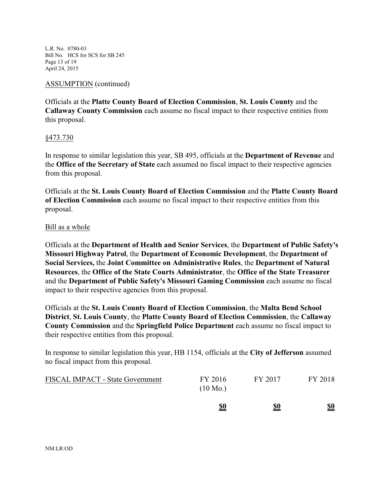L.R. No. 0780-03 Bill No. HCS for SCS for SB 245 Page 13 of 19 April 24, 2015

ASSUMPTION (continued)

Officials at the **Platte County Board of Election Commission**, **St. Louis County** and the **Callaway County Commission** each assume no fiscal impact to their respective entities from this proposal.

§473.730

In response to similar legislation this year, SB 495, officials at the **Department of Revenue** and the **Office of the Secretary of State** each assumed no fiscal impact to their respective agencies from this proposal.

Officials at the **St. Louis County Board of Election Commission** and the **Platte County Board of Election Commission** each assume no fiscal impact to their respective entities from this proposal.

#### Bill as a whole

Officials at the **Department of Health and Senior Services**, the **Department of Public Safety's Missouri Highway Patrol**, the **Department of Economic Development**, the **Department of Social Services,** the **Joint Committee on Administrative Rules**, the **Department of Natural Resources**, the **Office of the State Courts Administrator**, the **Office of the State Treasurer** and the **Department of Public Safety's Missouri Gaming Commission** each assume no fiscal impact to their respective agencies from this proposal.

Officials at the **St. Louis County Board of Election Commission**, the **Malta Bend School District**, **St. Louis County**, the **Platte County Board of Election Commission**, the **Callaway County Commission** and the **Springfield Police Department** each assume no fiscal impact to their respective entities from this proposal.

In response to similar legislation this year, HB 1154, officials at the **City of Jefferson** assumed no fiscal impact from this proposal.

|                                         | <u>\$0</u>                    | <u>\$0</u> | $\underline{\underline{\$0}}$ |
|-----------------------------------------|-------------------------------|------------|-------------------------------|
| <b>FISCAL IMPACT - State Government</b> | FY 2016<br>$(10 \text{ Mo.})$ | FY 2017    | FY 2018                       |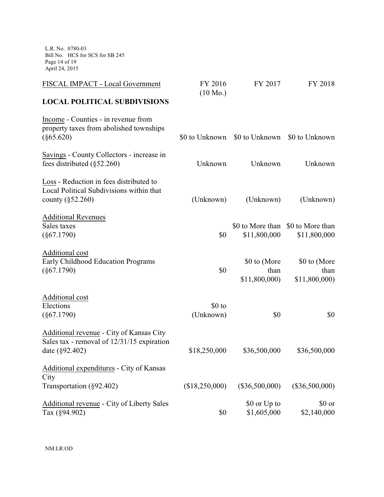L.R. No. 0780-03 Bill No. HCS for SCS for SB 245 Page 14 of 19 April 24, 2015

| FISCAL IMPACT - Local Government                                                                            | FY 2016<br>$(10 \text{ Mo.})$ | FY 2017                                      | FY 2018                                           |
|-------------------------------------------------------------------------------------------------------------|-------------------------------|----------------------------------------------|---------------------------------------------------|
| <b>LOCAL POLITICAL SUBDIVISIONS</b>                                                                         |                               |                                              |                                                   |
| Income - Counties - in revenue from<br>property taxes from abolished townships<br>$(\S 65.620)$             |                               | \$0 to Unknown \$0 to Unknown \$0 to Unknown |                                                   |
| Savings - County Collectors - increase in<br>fees distributed $(\S 52.260)$                                 | Unknown                       | Unknown                                      | Unknown                                           |
| Loss - Reduction in fees distributed to<br>Local Political Subdivisions within that<br>county $(\S 52.260)$ | (Unknown)                     | (Unknown)                                    | (Unknown)                                         |
| <b>Additional Revenues</b><br>Sales taxes<br>$(\$67.1790)$                                                  | \$0                           | \$11,800,000                                 | \$0 to More than \$0 to More than<br>\$11,800,000 |
| Additional cost<br>Early Childhood Education Programs<br>$(\$67.1790)$                                      | \$0                           | \$0 to (More<br>than<br>\$11,800,000)        | \$0 to (More<br>than<br>\$11,800,000)             |
| Additional cost<br>Elections<br>$(\$67.1790)$                                                               | \$0 to<br>(Unknown)           | \$0                                          | \$0                                               |
| Additional revenue - City of Kansas City<br>Sales tax - removal of 12/31/15 expiration<br>date (§92.402)    | \$18,250,000                  | \$36,500,000                                 | \$36,500,000                                      |
| Additional expenditures - City of Kansas<br>City<br>Transportation (§92.402)                                | (\$18,250,000)                | $(\$36,500,000)$                             | $(\$36,500,000)$                                  |
| Additional revenue - City of Liberty Sales<br>Tax (§94.902)                                                 | \$0                           | \$0 or Up to<br>\$1,605,000                  | \$0 or<br>\$2,140,000                             |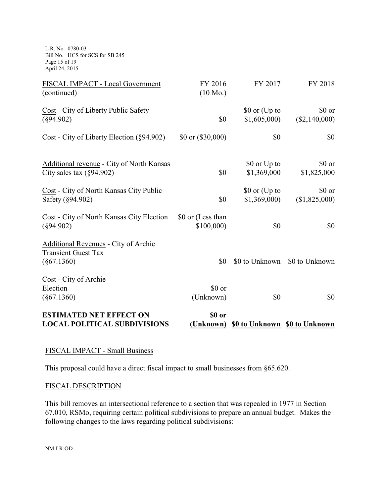L.R. No. 0780-03 Bill No. HCS for SCS for SB 245 Page 15 of 19 April 24, 2015

| FISCAL IMPACT - Local Government<br>(continued)                                     | FY 2016<br>$(10 \text{ Mo.})$  | FY 2017                                 | FY 2018                   |
|-------------------------------------------------------------------------------------|--------------------------------|-----------------------------------------|---------------------------|
| Cost - City of Liberty Public Safety<br>$(\$94.902)$                                | \$0                            | \$0 or (Up to<br>\$1,605,000            | \$0 or<br>$(\$2,140,000)$ |
| Cost - City of Liberty Election (§94.902)                                           | $$0 \text{ or } ($30,000)$     | \$0                                     | \$0                       |
| <b>Additional revenue - City of North Kansas</b><br>City sales tax $(\S 94.902)$    | \$0                            | \$0 or Up to<br>\$1,369,000             | \$0 or<br>\$1,825,000     |
| Cost - City of North Kansas City Public<br>Safety (§94.902)                         | \$0                            | \$0 or (Up to<br>\$1,369,000            | \$0 or<br>(\$1,825,000)   |
| Cost - City of North Kansas City Election<br>$(\$94.902)$                           | \$0 or (Less than<br>\$100,000 | \$0                                     | \$0                       |
| Additional Revenues - City of Archie<br><b>Transient Guest Tax</b><br>$(\S67.1360)$ | \$0                            | \$0 to Unknown                          | \$0 to Unknown            |
| Cost - City of Archie<br>Election<br>$(\$67.1360)$                                  | \$0 or<br>(Unknown)            | \$0                                     | $\frac{$0}{}$             |
| <b>ESTIMATED NET EFFECT ON</b><br><b>LOCAL POLITICAL SUBDIVISIONS</b>               | \$0 or                         | (Unknown) \$0 to Unknown \$0 to Unknown |                           |

# FISCAL IMPACT - Small Business

This proposal could have a direct fiscal impact to small businesses from §65.620.

### FISCAL DESCRIPTION

This bill removes an intersectional reference to a section that was repealed in 1977 in Section 67.010, RSMo, requiring certain political subdivisions to prepare an annual budget. Makes the following changes to the laws regarding political subdivisions:

NM:LR:OD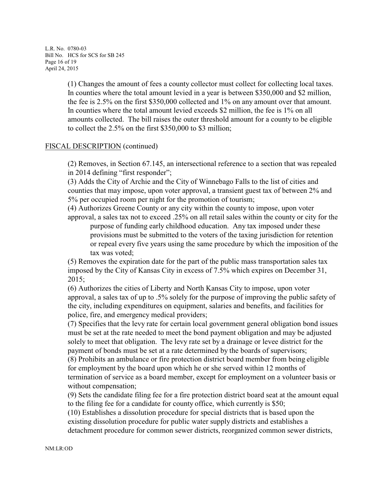L.R. No. 0780-03 Bill No. HCS for SCS for SB 245 Page 16 of 19 April 24, 2015

> (1) Changes the amount of fees a county collector must collect for collecting local taxes. In counties where the total amount levied in a year is between \$350,000 and \$2 million, the fee is 2.5% on the first \$350,000 collected and 1% on any amount over that amount. In counties where the total amount levied exceeds \$2 million, the fee is 1% on all amounts collected. The bill raises the outer threshold amount for a county to be eligible to collect the 2.5% on the first \$350,000 to \$3 million;

### FISCAL DESCRIPTION (continued)

(2) Removes, in Section 67.145, an intersectional reference to a section that was repealed in 2014 defining "first responder";

(3) Adds the City of Archie and the City of Winnebago Falls to the list of cities and counties that may impose, upon voter approval, a transient guest tax of between 2% and 5% per occupied room per night for the promotion of tourism;

(4) Authorizes Greene County or any city within the county to impose, upon voter approval, a sales tax not to exceed .25% on all retail sales within the county or city for the

purpose of funding early childhood education. Any tax imposed under these provisions must be submitted to the voters of the taxing jurisdiction for retention or repeal every five years using the same procedure by which the imposition of the tax was voted;

(5) Removes the expiration date for the part of the public mass transportation sales tax imposed by the City of Kansas City in excess of 7.5% which expires on December 31, 2015;

(6) Authorizes the cities of Liberty and North Kansas City to impose, upon voter approval, a sales tax of up to .5% solely for the purpose of improving the public safety of the city, including expenditures on equipment, salaries and benefits, and facilities for police, fire, and emergency medical providers;

(7) Specifies that the levy rate for certain local government general obligation bond issues must be set at the rate needed to meet the bond payment obligation and may be adjusted solely to meet that obligation. The levy rate set by a drainage or levee district for the payment of bonds must be set at a rate determined by the boards of supervisors; (8) Prohibits an ambulance or fire protection district board member from being eligible for employment by the board upon which he or she served within 12 months of termination of service as a board member, except for employment on a volunteer basis or without compensation;

(9) Sets the candidate filing fee for a fire protection district board seat at the amount equal to the filing fee for a candidate for county office, which currently is \$50;

(10) Establishes a dissolution procedure for special districts that is based upon the existing dissolution procedure for public water supply districts and establishes a detachment procedure for common sewer districts, reorganized common sewer districts,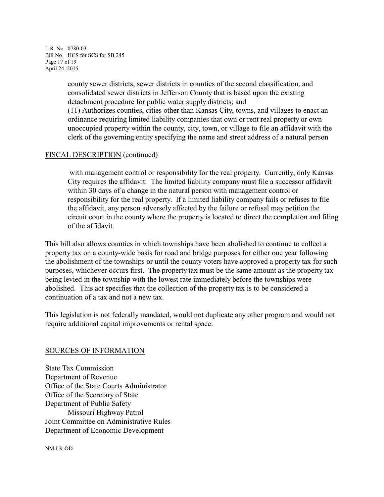L.R. No. 0780-03 Bill No. HCS for SCS for SB 245 Page 17 of 19 April 24, 2015

> county sewer districts, sewer districts in counties of the second classification, and consolidated sewer districts in Jefferson County that is based upon the existing detachment procedure for public water supply districts; and

(11) Authorizes counties, cities other than Kansas City, towns, and villages to enact an ordinance requiring limited liability companies that own or rent real property or own unoccupied property within the county, city, town, or village to file an affidavit with the clerk of the governing entity specifying the name and street address of a natural person

## FISCAL DESCRIPTION (continued)

 with management control or responsibility for the real property. Currently, only Kansas City requires the affidavit. The limited liability company must file a successor affidavit within 30 days of a change in the natural person with management control or responsibility for the real property. If a limited liability company fails or refuses to file the affidavit, any person adversely affected by the failure or refusal may petition the circuit court in the county where the property is located to direct the completion and filing of the affidavit.

This bill also allows counties in which townships have been abolished to continue to collect a property tax on a county-wide basis for road and bridge purposes for either one year following the abolishment of the townships or until the county voters have approved a property tax for such purposes, whichever occurs first. The property tax must be the same amount as the property tax being levied in the township with the lowest rate immediately before the townships were abolished. This act specifies that the collection of the property tax is to be considered a continuation of a tax and not a new tax.

This legislation is not federally mandated, would not duplicate any other program and would not require additional capital improvements or rental space.

### SOURCES OF INFORMATION

State Tax Commission Department of Revenue Office of the State Courts Administrator Office of the Secretary of State Department of Public Safety Missouri Highway Patrol Joint Committee on Administrative Rules Department of Economic Development

NM:LR:OD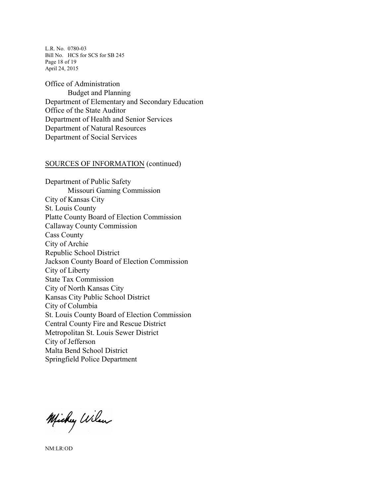L.R. No. 0780-03 Bill No. HCS for SCS for SB 245 Page 18 of 19 April 24, 2015

Office of Administration Budget and Planning Department of Elementary and Secondary Education Office of the State Auditor Department of Health and Senior Services Department of Natural Resources Department of Social Services

#### SOURCES OF INFORMATION (continued)

Department of Public Safety Missouri Gaming Commission City of Kansas City St. Louis County Platte County Board of Election Commission Callaway County Commission Cass County City of Archie Republic School District Jackson County Board of Election Commission City of Liberty State Tax Commission City of North Kansas City Kansas City Public School District City of Columbia St. Louis County Board of Election Commission Central County Fire and Rescue District Metropolitan St. Louis Sewer District City of Jefferson Malta Bend School District Springfield Police Department

Michy Wilson

NM:LR:OD